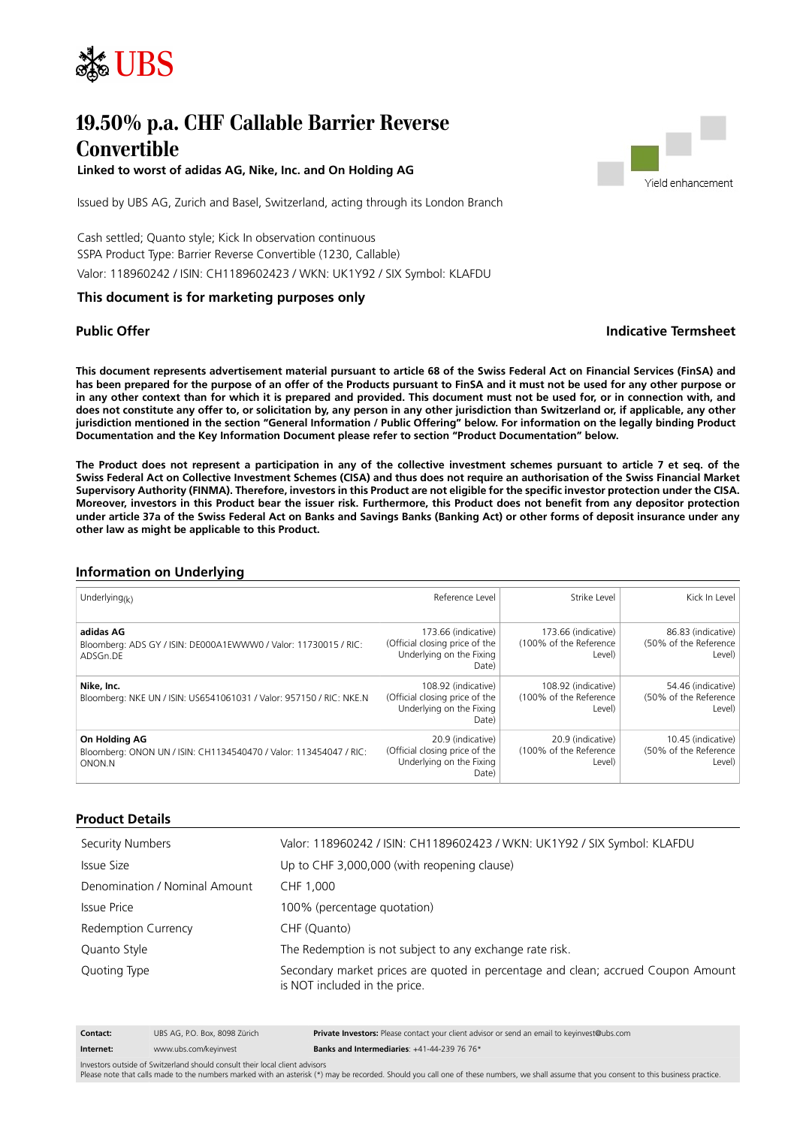

# **19.50% p.a. CHF Callable Barrier Reverse Convertible**

**Linked to worst of adidas AG, Nike, Inc. and On Holding AG**



Issued by UBS AG, Zurich and Basel, Switzerland, acting through its London Branch

Cash settled; Quanto style; Kick In observation continuous SSPA Product Type: Barrier Reverse Convertible (1230, Callable) Valor: 118960242 / ISIN: CH1189602423 / WKN: UK1Y92 / SIX Symbol: KLAFDU

#### **This document is for marketing purposes only**

# **Public Offer Indicative Termsheet**

**This document represents advertisement material pursuant to article 68 of the Swiss Federal Act on Financial Services (FinSA) and has been prepared for the purpose of an offer of the Products pursuant to FinSA and it must not be used for any other purpose or in any other context than for which it is prepared and provided. This document must not be used for, or in connection with, and does not constitute any offer to, or solicitation by, any person in any other jurisdiction than Switzerland or, if applicable, any other jurisdiction mentioned in the section "General Information / Public Offering" below. For information on the legally binding Product Documentation and the Key Information Document please refer to section "Product Documentation" below.**

**The Product does not represent a participation in any of the collective investment schemes pursuant to article 7 et seq. of the Swiss Federal Act on Collective Investment Schemes (CISA) and thus does not require an authorisation of the Swiss Financial Market Supervisory Authority (FINMA). Therefore, investors in this Product are not eligible for the specific investor protection under the CISA. Moreover, investors in this Product bear the issuer risk. Furthermore, this Product does not benefit from any depositor protection under article 37a of the Swiss Federal Act on Banks and Savings Banks (Banking Act) or other forms of deposit insurance under any other law as might be applicable to this Product.**

# **Information on Underlying**

| Underlying( $k$ )                                                                            | Reference Level                                                                            | Strike Level                                            | Kick In Level                                           |
|----------------------------------------------------------------------------------------------|--------------------------------------------------------------------------------------------|---------------------------------------------------------|---------------------------------------------------------|
| adidas AG<br>Bloomberg: ADS GY / ISIN: DE000A1EWWW0 / Valor: 11730015 / RIC:<br>ADSGn.DE     | 173.66 (indicative)<br>(Official closing price of the<br>Underlying on the Fixing<br>Date) | 173.66 (indicative)<br>(100% of the Reference<br>Level) | 86.83 (indicative)<br>(50% of the Reference<br>Level)   |
| Nike, Inc.<br>Bloomberg: NKE UN / ISIN: US6541061031 / Valor: 957150 / RIC: NKE.N            | 108.92 (indicative)<br>(Official closing price of the<br>Underlying on the Fixing<br>Date) | 108.92 (indicative)<br>(100% of the Reference<br>Level) | 54.46 (indicative)<br>(50% of the Reference)<br>Level)  |
| On Holding AG<br>Bloomberg: ONON UN / ISIN: CH1134540470 / Valor: 113454047 / RIC:<br>ONON.N | 20.9 (indicative)<br>(Official closing price of the<br>Underlying on the Fixing<br>Date)   | 20.9 (indicative)<br>(100% of the Reference<br>Level)   | 10.45 (indicative)<br>(50% of the Reference  <br>Level) |

#### **Product Details**

| Security Numbers              | Valor: 118960242 / ISIN: CH1189602423 / WKN: UK1Y92 / SIX Symbol: KLAFDU                                           |  |
|-------------------------------|--------------------------------------------------------------------------------------------------------------------|--|
| Issue Size                    | Up to CHF 3,000,000 (with reopening clause)                                                                        |  |
| Denomination / Nominal Amount | CHF 1.000                                                                                                          |  |
| Issue Price                   | 100% (percentage quotation)                                                                                        |  |
| Redemption Currency           | CHF (Quanto)                                                                                                       |  |
| Quanto Style                  | The Redemption is not subject to any exchange rate risk.                                                           |  |
| Quoting Type                  | Secondary market prices are quoted in percentage and clean; accrued Coupon Amount<br>is NOT included in the price. |  |

| Contact:  | UBS AG, P.O. Box, 8098 Zürich | <b>Private Investors:</b> Please contact your client advisor or send an email to keyinvest@ubs.com |
|-----------|-------------------------------|----------------------------------------------------------------------------------------------------|
| Internet: | www.ubs.com/kevinvest         | <b>Banks and Intermediaries:</b> $+41-44-239$ 76 76*                                               |

Investors outside of Switzerland should consult their local client advisors

Please note that calls made to the numbers marked with an asterisk (\*) may be recorded. Should you call one of these numbers, we shall assume that you consent to this business practice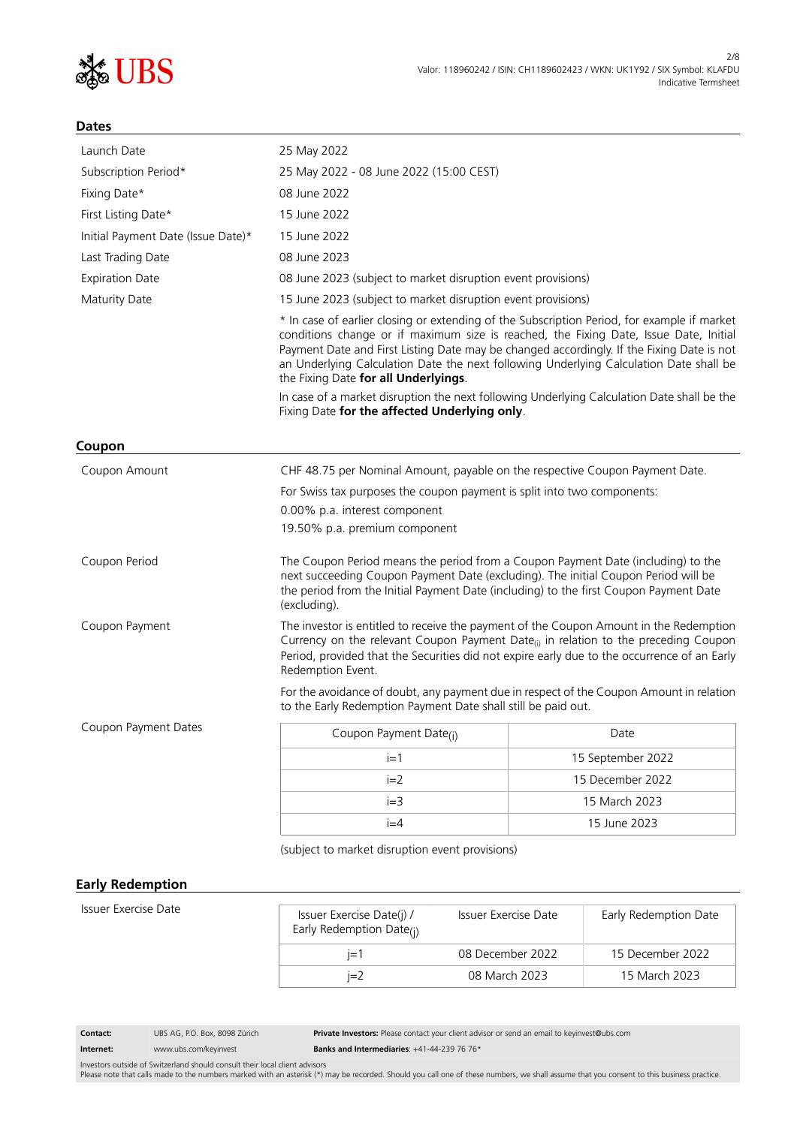

#### **Dates**

| Launch Date                                                                                                                                              | 25 May 2022                                                                                                                                                                                                                                                                                                                                                                                                         |                   |  |
|----------------------------------------------------------------------------------------------------------------------------------------------------------|---------------------------------------------------------------------------------------------------------------------------------------------------------------------------------------------------------------------------------------------------------------------------------------------------------------------------------------------------------------------------------------------------------------------|-------------------|--|
| Subscription Period*                                                                                                                                     | 25 May 2022 - 08 June 2022 (15:00 CEST)                                                                                                                                                                                                                                                                                                                                                                             |                   |  |
| Fixing Date*                                                                                                                                             | 08 June 2022                                                                                                                                                                                                                                                                                                                                                                                                        |                   |  |
| First Listing Date*                                                                                                                                      | 15 June 2022                                                                                                                                                                                                                                                                                                                                                                                                        |                   |  |
| Initial Payment Date (Issue Date)*                                                                                                                       | 15 June 2022                                                                                                                                                                                                                                                                                                                                                                                                        |                   |  |
| Last Trading Date                                                                                                                                        | 08 June 2023                                                                                                                                                                                                                                                                                                                                                                                                        |                   |  |
| <b>Expiration Date</b>                                                                                                                                   | 08 June 2023 (subject to market disruption event provisions)                                                                                                                                                                                                                                                                                                                                                        |                   |  |
| Maturity Date                                                                                                                                            | 15 June 2023 (subject to market disruption event provisions)                                                                                                                                                                                                                                                                                                                                                        |                   |  |
|                                                                                                                                                          | * In case of earlier closing or extending of the Subscription Period, for example if market<br>conditions change or if maximum size is reached, the Fixing Date, Issue Date, Initial<br>Payment Date and First Listing Date may be changed accordingly. If the Fixing Date is not<br>an Underlying Calculation Date the next following Underlying Calculation Date shall be<br>the Fixing Date for all Underlyings. |                   |  |
|                                                                                                                                                          | In case of a market disruption the next following Underlying Calculation Date shall be the<br>Fixing Date for the affected Underlying only.                                                                                                                                                                                                                                                                         |                   |  |
| Coupon                                                                                                                                                   |                                                                                                                                                                                                                                                                                                                                                                                                                     |                   |  |
| Coupon Amount                                                                                                                                            | CHF 48.75 per Nominal Amount, payable on the respective Coupon Payment Date.                                                                                                                                                                                                                                                                                                                                        |                   |  |
|                                                                                                                                                          | For Swiss tax purposes the coupon payment is split into two components:                                                                                                                                                                                                                                                                                                                                             |                   |  |
| 0.00% p.a. interest component                                                                                                                            |                                                                                                                                                                                                                                                                                                                                                                                                                     |                   |  |
|                                                                                                                                                          | 19.50% p.a. premium component                                                                                                                                                                                                                                                                                                                                                                                       |                   |  |
| Coupon Period                                                                                                                                            | The Coupon Period means the period from a Coupon Payment Date (including) to the<br>next succeeding Coupon Payment Date (excluding). The initial Coupon Period will be<br>the period from the Initial Payment Date (including) to the first Coupon Payment Date<br>(excluding).                                                                                                                                     |                   |  |
| Coupon Payment                                                                                                                                           | The investor is entitled to receive the payment of the Coupon Amount in the Redemption<br>Currency on the relevant Coupon Payment Date <sub>(i)</sub> in relation to the preceding Coupon<br>Period, provided that the Securities did not expire early due to the occurrence of an Early<br>Redemption Event.                                                                                                       |                   |  |
| For the avoidance of doubt, any payment due in respect of the Coupon Amount in relation<br>to the Early Redemption Payment Date shall still be paid out. |                                                                                                                                                                                                                                                                                                                                                                                                                     |                   |  |
| Coupon Payment Dates                                                                                                                                     | Coupon Payment Date <sub>(i)</sub>                                                                                                                                                                                                                                                                                                                                                                                  | Date              |  |
|                                                                                                                                                          | $i=1$                                                                                                                                                                                                                                                                                                                                                                                                               | 15 September 2022 |  |
|                                                                                                                                                          | $i=2$                                                                                                                                                                                                                                                                                                                                                                                                               | 15 December 2022  |  |
|                                                                                                                                                          | $i=3$                                                                                                                                                                                                                                                                                                                                                                                                               | 15 March 2023     |  |
|                                                                                                                                                          | $i=4$                                                                                                                                                                                                                                                                                                                                                                                                               | 15 June 2023      |  |
| (subject to market disruption event provisions)                                                                                                          |                                                                                                                                                                                                                                                                                                                                                                                                                     |                   |  |

#### **Early Redemption**

| Issuer Exercise Date | Issuer Exercise Date(j) /<br>Early Redemption Date(j) | Issuer Exercise Date | Early Redemption Date |
|----------------------|-------------------------------------------------------|----------------------|-----------------------|
|                      | $I = 1$                                               | 08 December 2022     | 15 December 2022      |
|                      | $i=2$                                                 | 08 March 2023        | 15 March 2023         |

**Contact:** UBS AG, P.O. Box, 8098 Zürich **Private Investors:** Please contact your client advisor or send an email to keyinvest@ubs.com **Internet:** www.ubs.com/keyinvest **Banks and Intermediaries**: +41-44-239 76 76\*

Investors outside of Switzerland should consult their local client advisors<br>Please note that calls made to the numbers marked with an asterisk (\*) may be recorded. Should you call one of these numbers, we shall assume that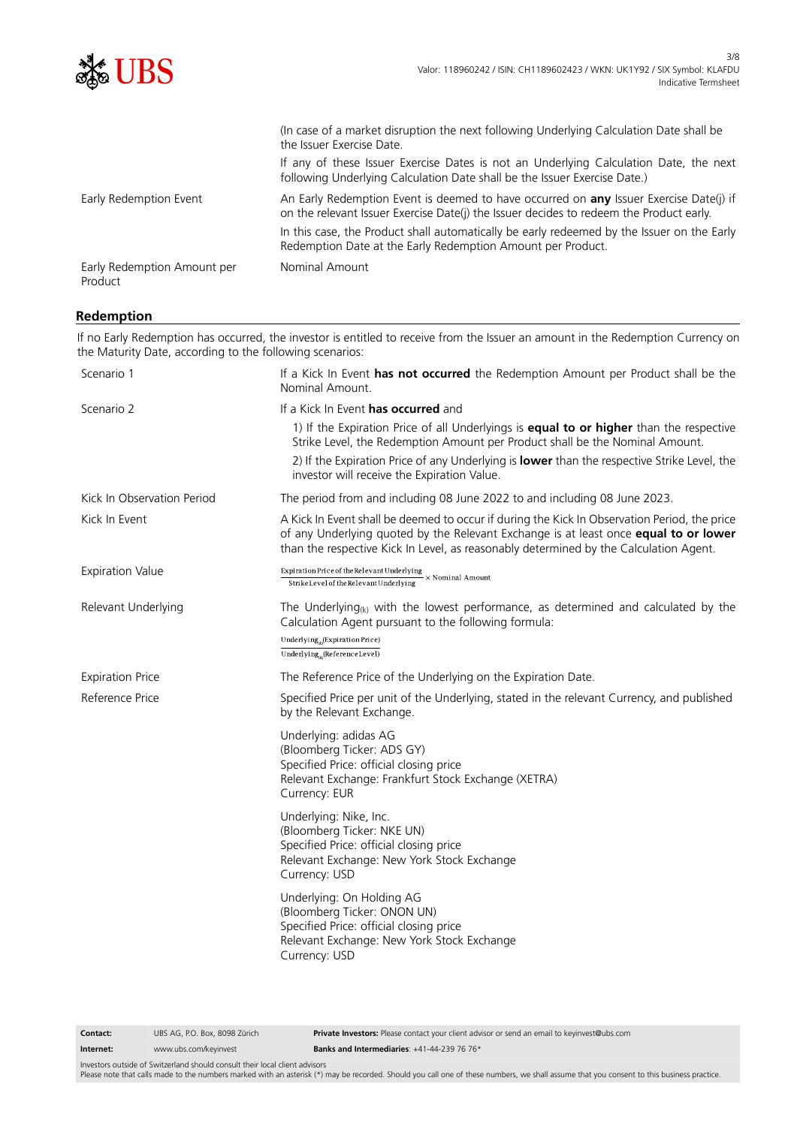

# **Redemption**

If no Early Redemption has occurred, the investor is entitled to receive from the Issuer an amount in the Redemption Currency on the Maturity Date, according to the following scenarios: Scenario 1 If a Kick In Event **has not occurred** the Redemption Amount per Product shall be the

| <b>SCETTATIO</b> 1         | IT & NICK IIT EVENT <b>NAS NOT OCCUTTEG</b> THE NEGENIPHON ANNOUNT PET PROGUCT STAIL DE THE<br>Nominal Amount.                                                                                                                                                                                                        |  |
|----------------------------|-----------------------------------------------------------------------------------------------------------------------------------------------------------------------------------------------------------------------------------------------------------------------------------------------------------------------|--|
| Scenario 2                 | If a Kick In Event has occurred and                                                                                                                                                                                                                                                                                   |  |
|                            | 1) If the Expiration Price of all Underlyings is equal to or higher than the respective<br>Strike Level, the Redemption Amount per Product shall be the Nominal Amount.<br>2) If the Expiration Price of any Underlying is lower than the respective Strike Level, the<br>investor will receive the Expiration Value. |  |
| Kick In Observation Period | The period from and including 08 June 2022 to and including 08 June 2023.                                                                                                                                                                                                                                             |  |
| Kick In Event              | A Kick In Event shall be deemed to occur if during the Kick In Observation Period, the price<br>of any Underlying quoted by the Relevant Exchange is at least once equal to or lower<br>than the respective Kick In Level, as reasonably determined by the Calculation Agent.                                         |  |
| <b>Expiration Value</b>    | $\frac{\text{Expiration Price of the Relevant Underlying}}{\text{StrikeLevel of the Relevant Underlying}} \times \text{Nominal Amount}$                                                                                                                                                                               |  |
| Relevant Underlying        | The Underlying <sub><math>(k)</math></sub> with the lowest performance, as determined and calculated by the<br>Calculation Agent pursuant to the following formula:<br>Underlying <sub>a</sub> (Expiration Price)<br>Underlying $_{\alpha}$ (Reference Level)                                                         |  |
| <b>Expiration Price</b>    | The Reference Price of the Underlying on the Expiration Date.                                                                                                                                                                                                                                                         |  |
| Reference Price            | Specified Price per unit of the Underlying, stated in the relevant Currency, and published<br>by the Relevant Exchange.                                                                                                                                                                                               |  |
|                            | Underlying: adidas AG<br>(Bloomberg Ticker: ADS GY)<br>Specified Price: official closing price<br>Relevant Exchange: Frankfurt Stock Exchange (XETRA)<br>Currency: EUR                                                                                                                                                |  |
|                            | Underlying: Nike, Inc.<br>(Bloomberg Ticker: NKE UN)<br>Specified Price: official closing price<br>Relevant Exchange: New York Stock Exchange<br>Currency: USD                                                                                                                                                        |  |
|                            | Underlying: On Holding AG<br>(Bloomberg Ticker: ONON UN)<br>Specified Price: official closing price<br>Relevant Exchange: New York Stock Exchange<br>Currency: USD                                                                                                                                                    |  |
|                            |                                                                                                                                                                                                                                                                                                                       |  |

**Contact:** UBS AG, P.O. Box, 8098 Zürich **Private Investors:** Please contact your client advisor or send an email to keyinvest@ubs.com

Investors outside of Switzerland should consult their local client advisors

Please note that calls made to the numbers marked with an asterisk (\*) may be recorded. Should you call one of these numbers, we shall assume that you consent to this business practice.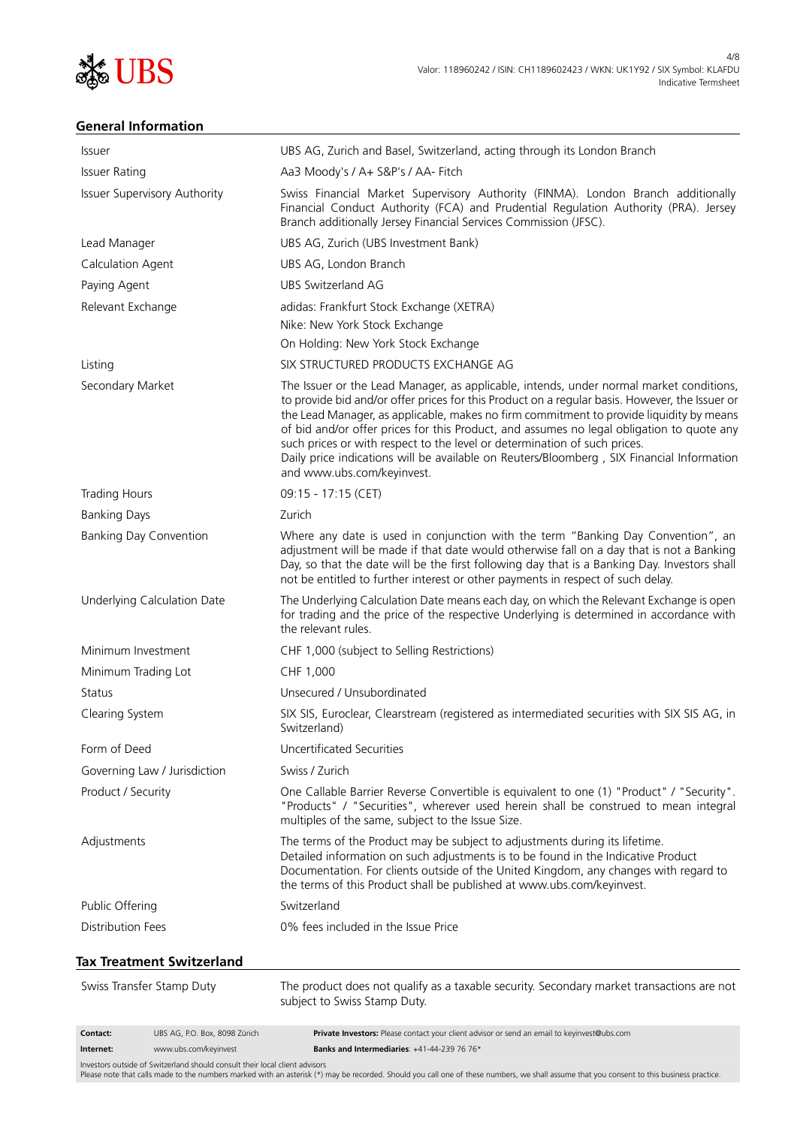

# **General Information**

| Contact:<br>Internet:         | UBS AG, P.O. Box, 8098 Zürich<br>www.ubs.com/keyinvest | Private Investors: Please contact your client advisor or send an email to keyinvest@ubs.com<br>Banks and Intermediaries: +41-44-239 76 76*                                                                                                                                                                                                                                                                                                                                                                                                                                                |
|-------------------------------|--------------------------------------------------------|-------------------------------------------------------------------------------------------------------------------------------------------------------------------------------------------------------------------------------------------------------------------------------------------------------------------------------------------------------------------------------------------------------------------------------------------------------------------------------------------------------------------------------------------------------------------------------------------|
| Swiss Transfer Stamp Duty     |                                                        | The product does not qualify as a taxable security. Secondary market transactions are not<br>subject to Swiss Stamp Duty.                                                                                                                                                                                                                                                                                                                                                                                                                                                                 |
|                               | Tax Treatment Switzerland                              |                                                                                                                                                                                                                                                                                                                                                                                                                                                                                                                                                                                           |
| <b>Distribution Fees</b>      |                                                        | 0% fees included in the Issue Price                                                                                                                                                                                                                                                                                                                                                                                                                                                                                                                                                       |
| Public Offering               |                                                        | Switzerland                                                                                                                                                                                                                                                                                                                                                                                                                                                                                                                                                                               |
| Adjustments                   |                                                        | The terms of the Product may be subject to adjustments during its lifetime.<br>Detailed information on such adjustments is to be found in the Indicative Product<br>Documentation. For clients outside of the United Kingdom, any changes with regard to<br>the terms of this Product shall be published at www.ubs.com/keyinvest.                                                                                                                                                                                                                                                        |
| Product / Security            |                                                        | One Callable Barrier Reverse Convertible is equivalent to one (1) "Product" / "Security".<br>"Products" / "Securities", wherever used herein shall be construed to mean integral<br>multiples of the same, subject to the Issue Size.                                                                                                                                                                                                                                                                                                                                                     |
|                               | Governing Law / Jurisdiction                           | Swiss / Zurich                                                                                                                                                                                                                                                                                                                                                                                                                                                                                                                                                                            |
| Form of Deed                  |                                                        | Uncertificated Securities                                                                                                                                                                                                                                                                                                                                                                                                                                                                                                                                                                 |
| Clearing System               |                                                        | SIX SIS, Euroclear, Clearstream (registered as intermediated securities with SIX SIS AG, in<br>Switzerland)                                                                                                                                                                                                                                                                                                                                                                                                                                                                               |
| Status                        |                                                        | Unsecured / Unsubordinated                                                                                                                                                                                                                                                                                                                                                                                                                                                                                                                                                                |
| Minimum Trading Lot           |                                                        | CHF 1,000                                                                                                                                                                                                                                                                                                                                                                                                                                                                                                                                                                                 |
| Minimum Investment            |                                                        | CHF 1,000 (subject to Selling Restrictions)                                                                                                                                                                                                                                                                                                                                                                                                                                                                                                                                               |
|                               | Underlying Calculation Date                            | The Underlying Calculation Date means each day, on which the Relevant Exchange is open<br>for trading and the price of the respective Underlying is determined in accordance with<br>the relevant rules.                                                                                                                                                                                                                                                                                                                                                                                  |
| <b>Banking Day Convention</b> |                                                        | Where any date is used in conjunction with the term "Banking Day Convention", an<br>adjustment will be made if that date would otherwise fall on a day that is not a Banking<br>Day, so that the date will be the first following day that is a Banking Day. Investors shall<br>not be entitled to further interest or other payments in respect of such delay.                                                                                                                                                                                                                           |
| <b>Banking Days</b>           |                                                        | Zurich                                                                                                                                                                                                                                                                                                                                                                                                                                                                                                                                                                                    |
| <b>Trading Hours</b>          |                                                        | 09:15 - 17:15 (CET)                                                                                                                                                                                                                                                                                                                                                                                                                                                                                                                                                                       |
| Secondary Market              |                                                        | The Issuer or the Lead Manager, as applicable, intends, under normal market conditions,<br>to provide bid and/or offer prices for this Product on a regular basis. However, the Issuer or<br>the Lead Manager, as applicable, makes no firm commitment to provide liquidity by means<br>of bid and/or offer prices for this Product, and assumes no legal obligation to quote any<br>such prices or with respect to the level or determination of such prices.<br>Daily price indications will be available on Reuters/Bloomberg, SIX Financial Information<br>and www.ubs.com/keyinvest. |
| Listing                       |                                                        | SIX STRUCTURED PRODUCTS EXCHANGE AG                                                                                                                                                                                                                                                                                                                                                                                                                                                                                                                                                       |
|                               |                                                        | On Holding: New York Stock Exchange                                                                                                                                                                                                                                                                                                                                                                                                                                                                                                                                                       |
|                               |                                                        | Nike: New York Stock Exchange                                                                                                                                                                                                                                                                                                                                                                                                                                                                                                                                                             |
| Relevant Exchange             |                                                        | adidas: Frankfurt Stock Exchange (XETRA)                                                                                                                                                                                                                                                                                                                                                                                                                                                                                                                                                  |
| Paying Agent                  |                                                        | <b>UBS Switzerland AG</b>                                                                                                                                                                                                                                                                                                                                                                                                                                                                                                                                                                 |
| Calculation Agent             |                                                        | UBS AG, London Branch                                                                                                                                                                                                                                                                                                                                                                                                                                                                                                                                                                     |
| Lead Manager                  |                                                        | Branch additionally Jersey Financial Services Commission (JFSC).<br>UBS AG, Zurich (UBS Investment Bank)                                                                                                                                                                                                                                                                                                                                                                                                                                                                                  |
|                               | <b>Issuer Supervisory Authority</b>                    | Swiss Financial Market Supervisory Authority (FINMA). London Branch additionally<br>Financial Conduct Authority (FCA) and Prudential Regulation Authority (PRA). Jersey                                                                                                                                                                                                                                                                                                                                                                                                                   |
| <b>Issuer Rating</b>          |                                                        | Aa3 Moody's / A+ S&P's / AA- Fitch                                                                                                                                                                                                                                                                                                                                                                                                                                                                                                                                                        |
| Issuer                        |                                                        | UBS AG, Zurich and Basel, Switzerland, acting through its London Branch                                                                                                                                                                                                                                                                                                                                                                                                                                                                                                                   |

Investors outside of Switzerland should consult their local client advisors<br>Please note that calls made to the numbers marked with an asterisk (\*) may be recorded. Should you call one of these numbers, we shall assume that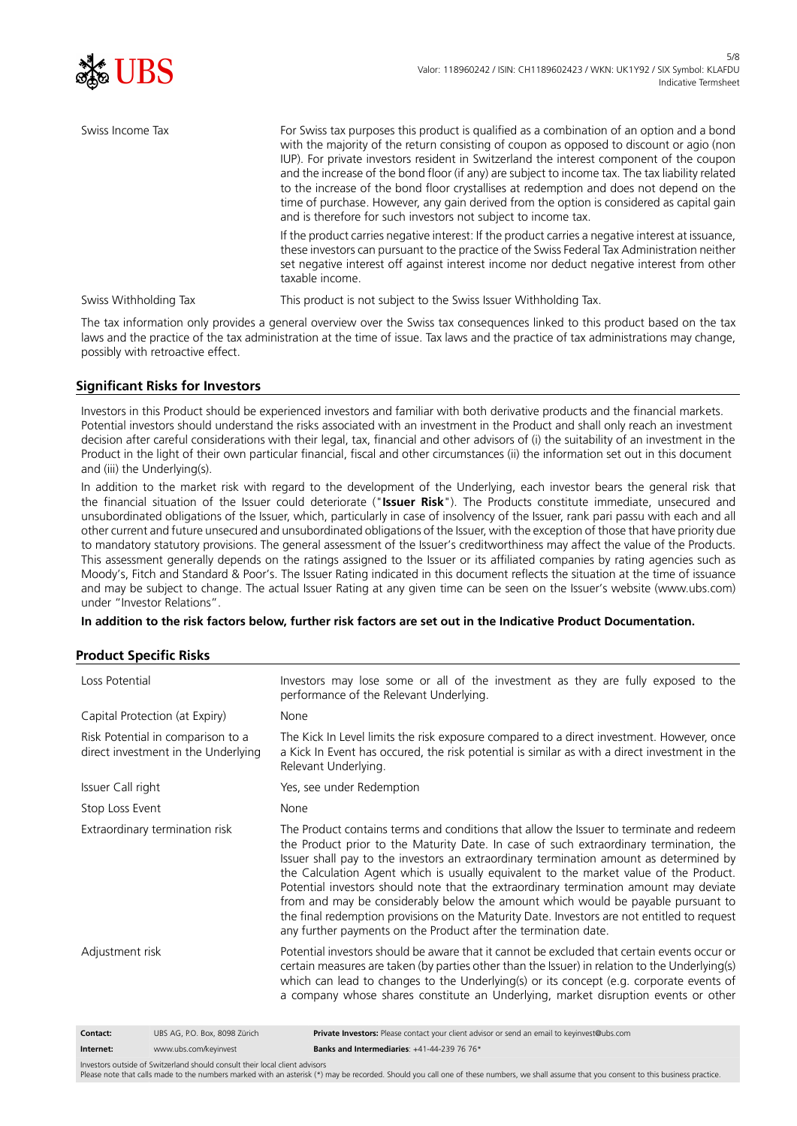

| Swiss Income Tax      | For Swiss tax purposes this product is qualified as a combination of an option and a bond<br>with the majority of the return consisting of coupon as opposed to discount or agio (non<br>IUP). For private investors resident in Switzerland the interest component of the coupon<br>and the increase of the bond floor (if any) are subject to income tax. The tax liability related<br>to the increase of the bond floor crystallises at redemption and does not depend on the<br>time of purchase. However, any gain derived from the option is considered as capital gain<br>and is therefore for such investors not subject to income tax. |
|-----------------------|-------------------------------------------------------------------------------------------------------------------------------------------------------------------------------------------------------------------------------------------------------------------------------------------------------------------------------------------------------------------------------------------------------------------------------------------------------------------------------------------------------------------------------------------------------------------------------------------------------------------------------------------------|
|                       | If the product carries negative interest: If the product carries a negative interest at issuance,<br>these investors can pursuant to the practice of the Swiss Federal Tax Administration neither<br>set negative interest off against interest income nor deduct negative interest from other<br>taxable income.                                                                                                                                                                                                                                                                                                                               |
| Swiss Withholding Tax | This product is not subject to the Swiss Issuer Withholding Tax.                                                                                                                                                                                                                                                                                                                                                                                                                                                                                                                                                                                |

The tax information only provides a general overview over the Swiss tax consequences linked to this product based on the tax laws and the practice of the tax administration at the time of issue. Tax laws and the practice of tax administrations may change, possibly with retroactive effect.

# **Significant Risks for Investors**

Investors in this Product should be experienced investors and familiar with both derivative products and the financial markets. Potential investors should understand the risks associated with an investment in the Product and shall only reach an investment decision after careful considerations with their legal, tax, financial and other advisors of (i) the suitability of an investment in the Product in the light of their own particular financial, fiscal and other circumstances (ii) the information set out in this document and (iii) the Underlying(s).

In addition to the market risk with regard to the development of the Underlying, each investor bears the general risk that the financial situation of the Issuer could deteriorate ("**Issuer Risk**"). The Products constitute immediate, unsecured and unsubordinated obligations of the Issuer, which, particularly in case of insolvency of the Issuer, rank pari passu with each and all other current and future unsecured and unsubordinated obligations of the Issuer, with the exception of those that have priority due to mandatory statutory provisions. The general assessment of the Issuer's creditworthiness may affect the value of the Products. This assessment generally depends on the ratings assigned to the Issuer or its affiliated companies by rating agencies such as Moody's, Fitch and Standard & Poor's. The Issuer Rating indicated in this document reflects the situation at the time of issuance and may be subject to change. The actual Issuer Rating at any given time can be seen on the Issuer's website (www.ubs.com) under "Investor Relations".

**In addition to the risk factors below, further risk factors are set out in the Indicative Product Documentation.**

#### **Product Specific Risks**

| Loss Potential                                                           |                                | Investors may lose some or all of the investment as they are fully exposed to the<br>performance of the Relevant Underlying.                                                                                                                                                                                                                                                                                                                                                                                                                                                                                                                                                                                        |  |
|--------------------------------------------------------------------------|--------------------------------|---------------------------------------------------------------------------------------------------------------------------------------------------------------------------------------------------------------------------------------------------------------------------------------------------------------------------------------------------------------------------------------------------------------------------------------------------------------------------------------------------------------------------------------------------------------------------------------------------------------------------------------------------------------------------------------------------------------------|--|
| Capital Protection (at Expiry)                                           |                                | None                                                                                                                                                                                                                                                                                                                                                                                                                                                                                                                                                                                                                                                                                                                |  |
| Risk Potential in comparison to a<br>direct investment in the Underlying |                                | The Kick In Level limits the risk exposure compared to a direct investment. However, once<br>a Kick In Event has occured, the risk potential is similar as with a direct investment in the<br>Relevant Underlying.                                                                                                                                                                                                                                                                                                                                                                                                                                                                                                  |  |
| Issuer Call right                                                        |                                | Yes, see under Redemption                                                                                                                                                                                                                                                                                                                                                                                                                                                                                                                                                                                                                                                                                           |  |
| Stop Loss Event                                                          |                                | None                                                                                                                                                                                                                                                                                                                                                                                                                                                                                                                                                                                                                                                                                                                |  |
|                                                                          | Extraordinary termination risk | The Product contains terms and conditions that allow the Issuer to terminate and redeem<br>the Product prior to the Maturity Date. In case of such extraordinary termination, the<br>Issuer shall pay to the investors an extraordinary termination amount as determined by<br>the Calculation Agent which is usually equivalent to the market value of the Product.<br>Potential investors should note that the extraordinary termination amount may deviate<br>from and may be considerably below the amount which would be payable pursuant to<br>the final redemption provisions on the Maturity Date. Investors are not entitled to request<br>any further payments on the Product after the termination date. |  |
| Adjustment risk                                                          |                                | Potential investors should be aware that it cannot be excluded that certain events occur or<br>certain measures are taken (by parties other than the Issuer) in relation to the Underlying(s)<br>which can lead to changes to the Underlying(s) or its concept (e.g. corporate events of<br>a company whose shares constitute an Underlying, market disruption events or other                                                                                                                                                                                                                                                                                                                                      |  |
| Contact:                                                                 | UBS AG, P.O. Box, 8098 Zürich  | Private Investors: Please contact your client advisor or send an email to keyinvest@ubs.com                                                                                                                                                                                                                                                                                                                                                                                                                                                                                                                                                                                                                         |  |
| Internet:                                                                | www.ubs.com/keyinvest          | Banks and Intermediaries: +41-44-239 76 76*                                                                                                                                                                                                                                                                                                                                                                                                                                                                                                                                                                                                                                                                         |  |

Investors outside of Switzerland should consult their local client advisors

Please note that calls made to the numbers marked with an asterisk (\*) may be recorded. Should you call one of these numbers, we shall assume that you consent to this business practice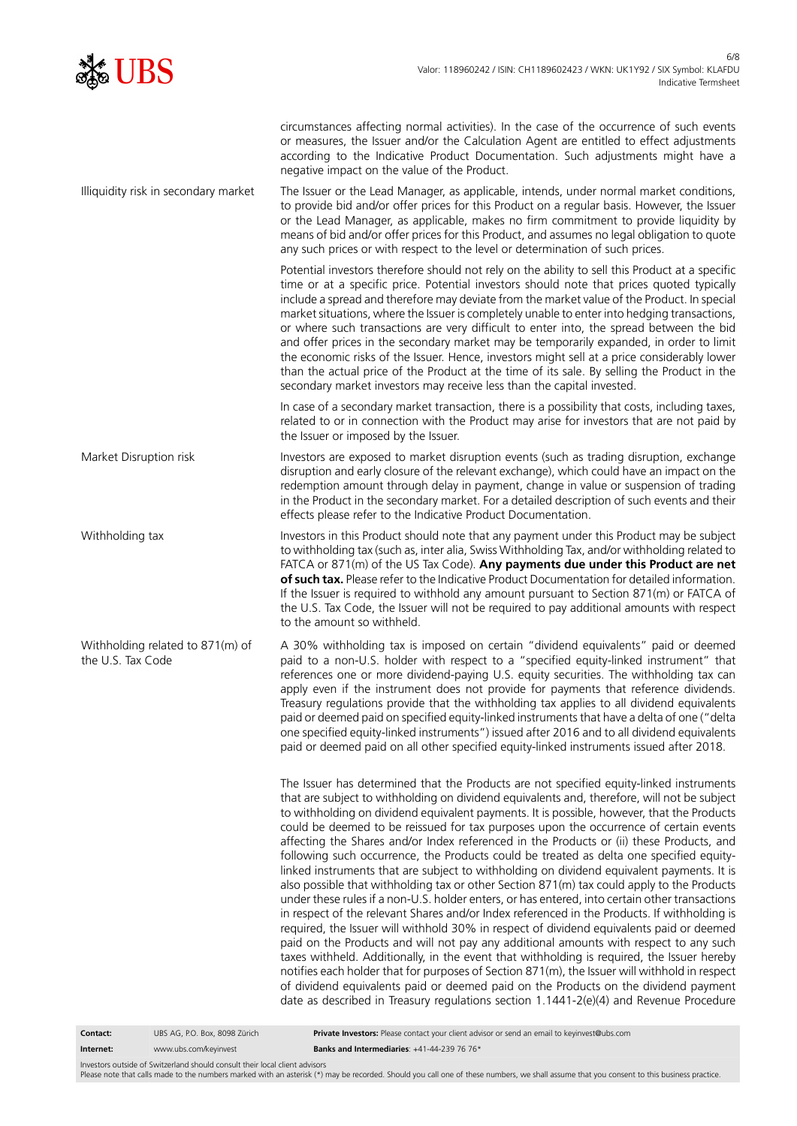

| circumstances affecting normal activities). In the case of the occurrence of such events<br>or measures, the Issuer and/or the Calculation Agent are entitled to effect adjustments<br>according to the Indicative Product Documentation. Such adjustments might have a<br>negative impact on the value of the Product.                                                                                                                                                                                                                                                                                                                                                                                                                                                                                                                                                                                                                                                                                                                                                                                                                                                                                                                                                                                                                                                                                                                                                                                                                |
|----------------------------------------------------------------------------------------------------------------------------------------------------------------------------------------------------------------------------------------------------------------------------------------------------------------------------------------------------------------------------------------------------------------------------------------------------------------------------------------------------------------------------------------------------------------------------------------------------------------------------------------------------------------------------------------------------------------------------------------------------------------------------------------------------------------------------------------------------------------------------------------------------------------------------------------------------------------------------------------------------------------------------------------------------------------------------------------------------------------------------------------------------------------------------------------------------------------------------------------------------------------------------------------------------------------------------------------------------------------------------------------------------------------------------------------------------------------------------------------------------------------------------------------|
| The Issuer or the Lead Manager, as applicable, intends, under normal market conditions,<br>to provide bid and/or offer prices for this Product on a regular basis. However, the Issuer<br>or the Lead Manager, as applicable, makes no firm commitment to provide liquidity by<br>means of bid and/or offer prices for this Product, and assumes no legal obligation to quote<br>any such prices or with respect to the level or determination of such prices.                                                                                                                                                                                                                                                                                                                                                                                                                                                                                                                                                                                                                                                                                                                                                                                                                                                                                                                                                                                                                                                                         |
| Potential investors therefore should not rely on the ability to sell this Product at a specific<br>time or at a specific price. Potential investors should note that prices quoted typically<br>include a spread and therefore may deviate from the market value of the Product. In special<br>market situations, where the Issuer is completely unable to enter into hedging transactions,<br>or where such transactions are very difficult to enter into, the spread between the bid<br>and offer prices in the secondary market may be temporarily expanded, in order to limit<br>the economic risks of the Issuer. Hence, investors might sell at a price considerably lower<br>than the actual price of the Product at the time of its sale. By selling the Product in the<br>secondary market investors may receive less than the capital invested.                                                                                                                                                                                                                                                                                                                                                                                                                                                                                                                                                                                                                                                                              |
| In case of a secondary market transaction, there is a possibility that costs, including taxes,<br>related to or in connection with the Product may arise for investors that are not paid by<br>the Issuer or imposed by the Issuer.                                                                                                                                                                                                                                                                                                                                                                                                                                                                                                                                                                                                                                                                                                                                                                                                                                                                                                                                                                                                                                                                                                                                                                                                                                                                                                    |
| Investors are exposed to market disruption events (such as trading disruption, exchange<br>disruption and early closure of the relevant exchange), which could have an impact on the<br>redemption amount through delay in payment, change in value or suspension of trading<br>in the Product in the secondary market. For a detailed description of such events and their<br>effects please refer to the Indicative Product Documentation.                                                                                                                                                                                                                                                                                                                                                                                                                                                                                                                                                                                                                                                                                                                                                                                                                                                                                                                                                                                                                                                                                           |
| Investors in this Product should note that any payment under this Product may be subject<br>to withholding tax (such as, inter alia, Swiss Withholding Tax, and/or withholding related to<br>FATCA or 871(m) of the US Tax Code). Any payments due under this Product are net<br>of such tax. Please refer to the Indicative Product Documentation for detailed information.<br>If the Issuer is required to withhold any amount pursuant to Section 871(m) or FATCA of<br>the U.S. Tax Code, the Issuer will not be required to pay additional amounts with respect<br>to the amount so withheld.                                                                                                                                                                                                                                                                                                                                                                                                                                                                                                                                                                                                                                                                                                                                                                                                                                                                                                                                     |
| A 30% withholding tax is imposed on certain "dividend equivalents" paid or deemed<br>paid to a non-U.S. holder with respect to a "specified equity-linked instrument" that<br>references one or more dividend-paying U.S. equity securities. The withholding tax can<br>apply even if the instrument does not provide for payments that reference dividends.<br>Treasury regulations provide that the withholding tax applies to all dividend equivalents<br>paid or deemed paid on specified equity-linked instruments that have a delta of one ("delta<br>one specified equity-linked instruments") issued after 2016 and to all dividend equivalents<br>paid or deemed paid on all other specified equity-linked instruments issued after 2018.                                                                                                                                                                                                                                                                                                                                                                                                                                                                                                                                                                                                                                                                                                                                                                                     |
| The Issuer has determined that the Products are not specified equity-linked instruments<br>that are subject to withholding on dividend equivalents and, therefore, will not be subject<br>to withholding on dividend equivalent payments. It is possible, however, that the Products<br>could be deemed to be reissued for tax purposes upon the occurrence of certain events<br>affecting the Shares and/or Index referenced in the Products or (ii) these Products, and<br>following such occurrence, the Products could be treated as delta one specified equity-<br>linked instruments that are subject to withholding on dividend equivalent payments. It is<br>also possible that withholding tax or other Section 871(m) tax could apply to the Products<br>under these rules if a non-U.S. holder enters, or has entered, into certain other transactions<br>in respect of the relevant Shares and/or Index referenced in the Products. If withholding is<br>required, the Issuer will withhold 30% in respect of dividend equivalents paid or deemed<br>paid on the Products and will not pay any additional amounts with respect to any such<br>taxes withheld. Additionally, in the event that withholding is required, the Issuer hereby<br>notifies each holder that for purposes of Section 871(m), the Issuer will withhold in respect<br>of dividend equivalents paid or deemed paid on the Products on the dividend payment<br>date as described in Treasury regulations section 1.1441-2(e)(4) and Revenue Procedure |
|                                                                                                                                                                                                                                                                                                                                                                                                                                                                                                                                                                                                                                                                                                                                                                                                                                                                                                                                                                                                                                                                                                                                                                                                                                                                                                                                                                                                                                                                                                                                        |

**Contact:** UBS AG, P.O. Box, 8098 Zürich **Private Investors:** Please contact your client advisor or send an email to keyinvest@ubs.com **Internet:** www.ubs.com/keyinvest **Banks and Intermediaries**: +41-44-239 76 76\*

Investors outside of Switzerland should consult their local client advisors<br>Please note that calls made to the numbers marked with an asterisk (\*) may be recorded. Should you call one of these numbers, we shall assume that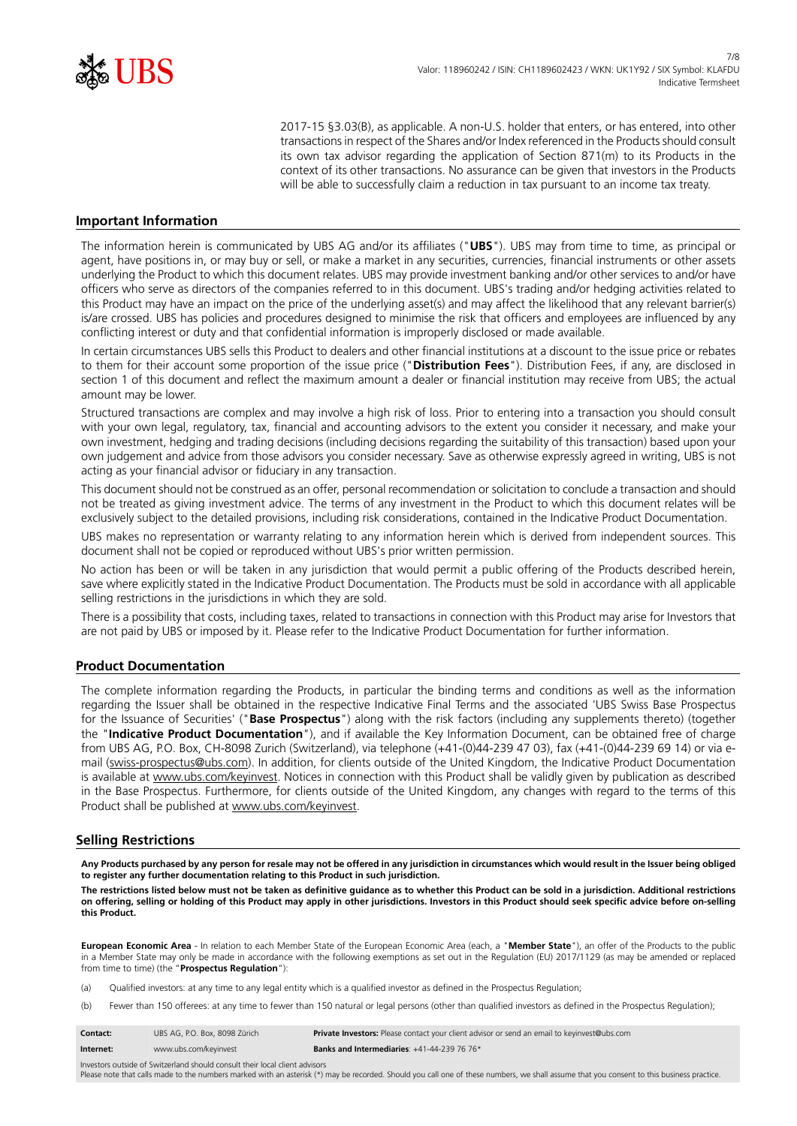

2017-15 §3.03(B), as applicable. A non-U.S. holder that enters, or has entered, into other transactions in respect of the Shares and/or Index referenced in the Products should consult its own tax advisor regarding the application of Section 871(m) to its Products in the context of its other transactions. No assurance can be given that investors in the Products will be able to successfully claim a reduction in tax pursuant to an income tax treaty.

#### **Important Information**

The information herein is communicated by UBS AG and/or its affiliates ("**UBS**"). UBS may from time to time, as principal or agent, have positions in, or may buy or sell, or make a market in any securities, currencies, financial instruments or other assets underlying the Product to which this document relates. UBS may provide investment banking and/or other services to and/or have officers who serve as directors of the companies referred to in this document. UBS's trading and/or hedging activities related to this Product may have an impact on the price of the underlying asset(s) and may affect the likelihood that any relevant barrier(s) is/are crossed. UBS has policies and procedures designed to minimise the risk that officers and employees are influenced by any conflicting interest or duty and that confidential information is improperly disclosed or made available.

In certain circumstances UBS sells this Product to dealers and other financial institutions at a discount to the issue price or rebates to them for their account some proportion of the issue price ("**Distribution Fees**"). Distribution Fees, if any, are disclosed in section 1 of this document and reflect the maximum amount a dealer or financial institution may receive from UBS; the actual amount may be lower.

Structured transactions are complex and may involve a high risk of loss. Prior to entering into a transaction you should consult with your own legal, regulatory, tax, financial and accounting advisors to the extent you consider it necessary, and make your own investment, hedging and trading decisions (including decisions regarding the suitability of this transaction) based upon your own judgement and advice from those advisors you consider necessary. Save as otherwise expressly agreed in writing, UBS is not acting as your financial advisor or fiduciary in any transaction.

This document should not be construed as an offer, personal recommendation or solicitation to conclude a transaction and should not be treated as giving investment advice. The terms of any investment in the Product to which this document relates will be exclusively subject to the detailed provisions, including risk considerations, contained in the Indicative Product Documentation.

UBS makes no representation or warranty relating to any information herein which is derived from independent sources. This document shall not be copied or reproduced without UBS's prior written permission.

No action has been or will be taken in any jurisdiction that would permit a public offering of the Products described herein, save where explicitly stated in the Indicative Product Documentation. The Products must be sold in accordance with all applicable selling restrictions in the jurisdictions in which they are sold.

There is a possibility that costs, including taxes, related to transactions in connection with this Product may arise for Investors that are not paid by UBS or imposed by it. Please refer to the Indicative Product Documentation for further information.

#### **Product Documentation**

The complete information regarding the Products, in particular the binding terms and conditions as well as the information regarding the Issuer shall be obtained in the respective Indicative Final Terms and the associated 'UBS Swiss Base Prospectus for the Issuance of Securities' ("**Base Prospectus**") along with the risk factors (including any supplements thereto) (together the "**Indicative Product Documentation**"), and if available the Key Information Document, can be obtained free of charge from UBS AG, P.O. Box, CH-8098 Zurich (Switzerland), via telephone (+41-(0)44-239 47 03), fax (+41-(0)44-239 69 14) or via email (swiss-prospectus@ubs.com). In addition, for clients outside of the United Kingdom, the Indicative Product Documentation is available at www.ubs.com/keyinvest. Notices in connection with this Product shall be validly given by publication as described in the Base Prospectus. Furthermore, for clients outside of the United Kingdom, any changes with regard to the terms of this Product shall be published at www.ubs.com/keyinvest.

#### **Selling Restrictions**

**Any Products purchased by any person for resale may not be offered in any jurisdiction in circumstances which would result in the Issuer being obliged to register any further documentation relating to this Product in such jurisdiction.**

**The restrictions listed below must not be taken as definitive guidance as to whether this Product can be sold in a jurisdiction. Additional restrictions on offering, selling or holding of this Product may apply in other jurisdictions. Investors in this Product should seek specific advice before on-selling this Product.**

**European Economic Area** - In relation to each Member State of the European Economic Area (each, a "**Member State**"), an offer of the Products to the public in a Member State may only be made in accordance with the following exemptions as set out in the Regulation (EU) 2017/1129 (as may be amended or replaced from time to time) (the "**Prospectus Regulation**"):

(a) Qualified investors: at any time to any legal entity which is a qualified investor as defined in the Prospectus Regulation;

(b) Fewer than 150 offerees: at any time to fewer than 150 natural or legal persons (other than qualified investors as defined in the Prospectus Regulation);

| <b>Contact:</b> | UBS AG. P.O. Box. 8098 Zürich | Private Investors: Please contact your client advisor or send an email to keyinvest@ubs.com |
|-----------------|-------------------------------|---------------------------------------------------------------------------------------------|
| Internet:       | www.ubs.com/keyinvest         | <b>Banks and Intermediaries:</b> $+41-44-239$ 76 76*                                        |

Investors outside of Switzerland should consult their local client advisors Please note that calls made to the numbers marked with an asterisk (\*) may be recorded. Should you call one of these numbers, we shall assume that you consent to this business practice.